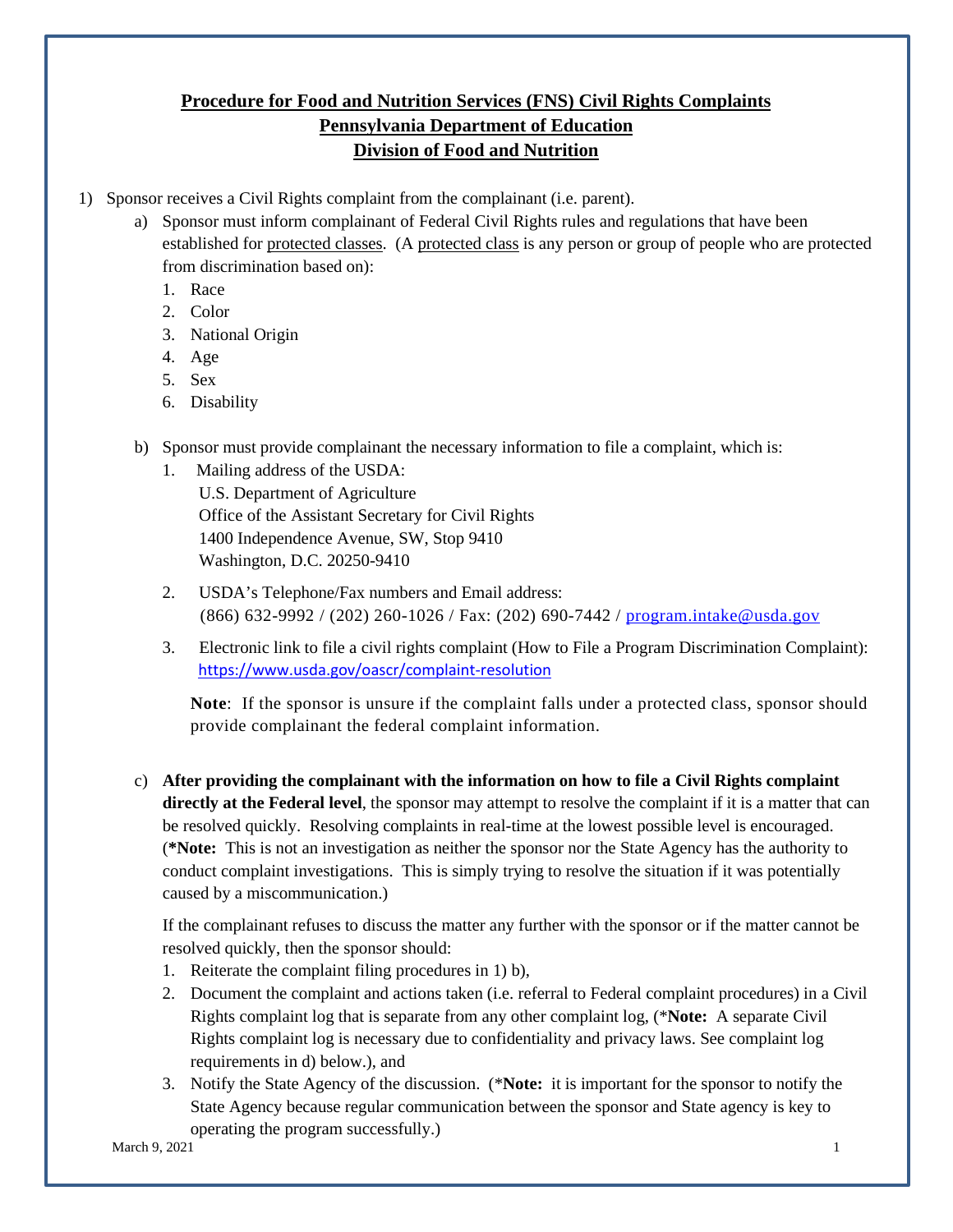## **Procedure for Food and Nutrition Services (FNS) Civil Rights Complaints Pennsylvania Department of Education Division of Food and Nutrition**

- 1) Sponsor receives a Civil Rights complaint from the complainant (i.e. parent).
	- a) Sponsor must inform complainant of Federal Civil Rights rules and regulations that have been established for protected classes. (A protected class is any person or group of people who are protected from discrimination based on):
		- 1. Race
		- 2. Color
		- 3. National Origin
		- 4. Age
		- 5. Sex
		- 6. Disability
	- b) Sponsor must provide complainant the necessary information to file a complaint, which is:
		- 1. Mailing address of the USDA: U.S. Department of Agriculture Office of the Assistant Secretary for Civil Rights 1400 Independence Avenue, SW, Stop 9410 Washington, D.C. 20250-9410
		- 2. USDA's Telephone/Fax numbers and Email address: (866) 632-9992 / (202) 260-1026 / Fax: (202) 690-7442 / [program.intake@usda.gov](mailto:program.intake@usda.gov)
		- 3. Electronic link to file a civil rights complaint (How to File a Program Discrimination Complaint): <https://www.usda.gov/oascr/complaint-resolution>

Note: If the sponsor is unsure if the complaint falls under a protected class, sponsor should provide complainant the federal complaint information.

c) **After providing the complainant with the information on how to file a Civil Rights complaint directly at the Federal level**, the sponsor may attempt to resolve the complaint if it is a matter that can be resolved quickly. Resolving complaints in real-time at the lowest possible level is encouraged. (**\*Note:** This is not an investigation as neither the sponsor nor the State Agency has the authority to conduct complaint investigations. This is simply trying to resolve the situation if it was potentially caused by a miscommunication.)

If the complainant refuses to discuss the matter any further with the sponsor or if the matter cannot be resolved quickly, then the sponsor should:

- 1. Reiterate the complaint filing procedures in 1) b),
- 2. Document the complaint and actions taken (i.e. referral to Federal complaint procedures) in a Civil Rights complaint log that is separate from any other complaint log, (\***Note:** A separate Civil Rights complaint log is necessary due to confidentiality and privacy laws. See complaint log requirements in d) below.), and
- 3. Notify the State Agency of the discussion. (\***Note:** it is important for the sponsor to notify the State Agency because regular communication between the sponsor and State agency is key to operating the program successfully.)